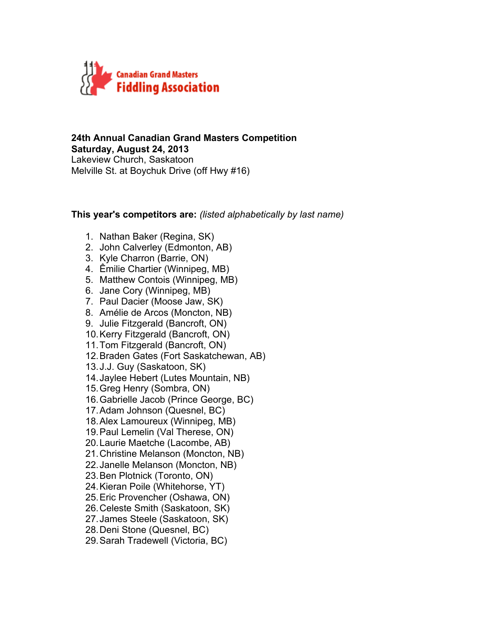

### **24th Annual Canadian Grand Masters Competition Saturday, August 24, 2013** Lakeview Church, Saskatoon Melville St. at Boychuk Drive (off Hwy #16)

### **This year's competitors are:** *(listed alphabetically by last name)*

- 1. Nathan Baker (Regina, SK)
- 2. John Calverley (Edmonton, AB)
- 3. Kyle Charron (Barrie, ON)
- 4. Êmilie Chartier (Winnipeg, MB)
- 5. Matthew Contois (Winnipeg, MB)
- 6. Jane Cory (Winnipeg, MB)
- 7. Paul Dacier (Moose Jaw, SK)
- 8. Amélie de Arcos (Moncton, NB)
- 9. Julie Fitzgerald (Bancroft, ON)
- 10.Kerry Fitzgerald (Bancroft, ON)
- 11.Tom Fitzgerald (Bancroft, ON)
- 12.Braden Gates (Fort Saskatchewan, AB)
- 13.J.J. Guy (Saskatoon, SK)
- 14.Jaylee Hebert (Lutes Mountain, NB)
- 15.Greg Henry (Sombra, ON)
- 16.Gabrielle Jacob (Prince George, BC)
- 17.Adam Johnson (Quesnel, BC)
- 18.Alex Lamoureux (Winnipeg, MB)
- 19.Paul Lemelin (Val Therese, ON)
- 20.Laurie Maetche (Lacombe, AB)
- 21.Christine Melanson (Moncton, NB)
- 22.Janelle Melanson (Moncton, NB)
- 23.Ben Plotnick (Toronto, ON)
- 24.Kieran Poile (Whitehorse, YT)
- 25.Eric Provencher (Oshawa, ON)
- 26.Celeste Smith (Saskatoon, SK)
- 27.James Steele (Saskatoon, SK)
- 28.Deni Stone (Quesnel, BC)
- 29.Sarah Tradewell (Victoria, BC)